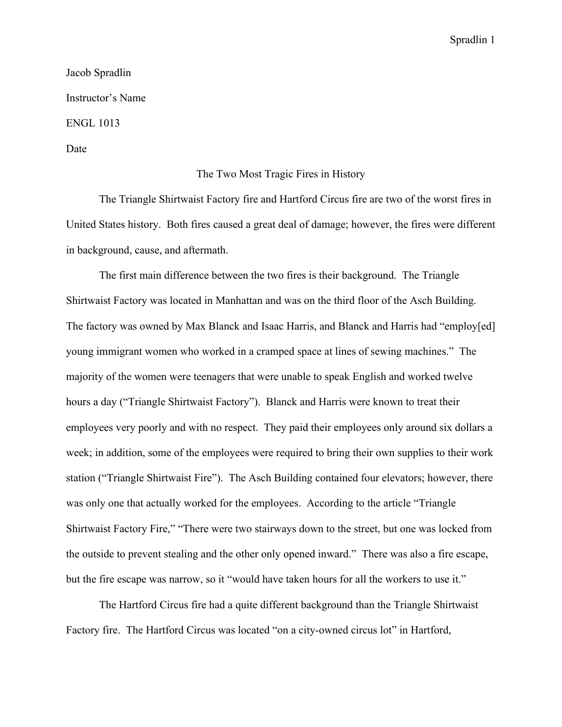Jacob Spradlin Instructor's Name ENGL 1013 Date

## The Two Most Tragic Fires in History

The Triangle Shirtwaist Factory fire and Hartford Circus fire are two of the worst fires in United States history. Both fires caused a great deal of damage; however, the fires were different in background, cause, and aftermath.

The first main difference between the two fires is their background. The Triangle Shirtwaist Factory was located in Manhattan and was on the third floor of the Asch Building. The factory was owned by Max Blanck and Isaac Harris, and Blanck and Harris had "employ[ed] young immigrant women who worked in a cramped space at lines of sewing machines." The majority of the women were teenagers that were unable to speak English and worked twelve hours a day ("Triangle Shirtwaist Factory"). Blanck and Harris were known to treat their employees very poorly and with no respect. They paid their employees only around six dollars a week; in addition, some of the employees were required to bring their own supplies to their work station ("Triangle Shirtwaist Fire"). The Asch Building contained four elevators; however, there was only one that actually worked for the employees. According to the article "Triangle Shirtwaist Factory Fire," "There were two stairways down to the street, but one was locked from the outside to prevent stealing and the other only opened inward." There was also a fire escape, but the fire escape was narrow, so it "would have taken hours for all the workers to use it."

The Hartford Circus fire had a quite different background than the Triangle Shirtwaist Factory fire. The Hartford Circus was located "on a city-owned circus lot" in Hartford,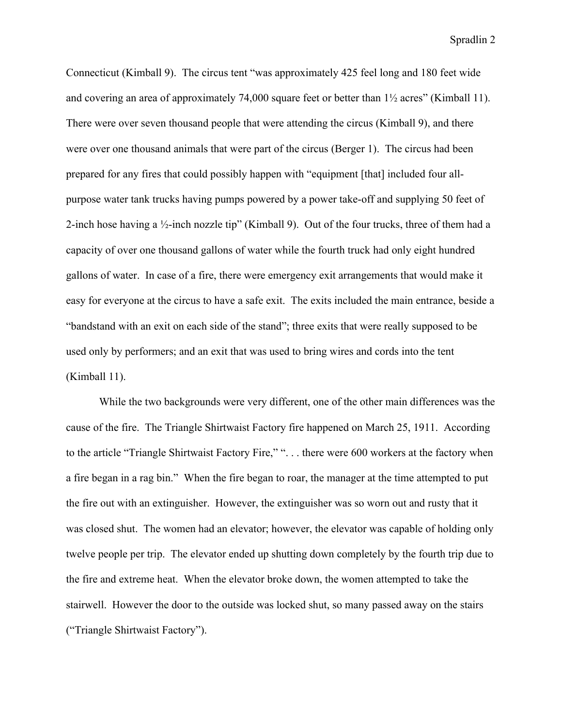Connecticut (Kimball 9). The circus tent "was approximately 425 feel long and 180 feet wide and covering an area of approximately 74,000 square feet or better than 1½ acres" (Kimball 11). There were over seven thousand people that were attending the circus (Kimball 9), and there were over one thousand animals that were part of the circus (Berger 1). The circus had been prepared for any fires that could possibly happen with "equipment [that] included four allpurpose water tank trucks having pumps powered by a power take-off and supplying 50 feet of 2-inch hose having a ½-inch nozzle tip" (Kimball 9). Out of the four trucks, three of them had a capacity of over one thousand gallons of water while the fourth truck had only eight hundred gallons of water. In case of a fire, there were emergency exit arrangements that would make it easy for everyone at the circus to have a safe exit. The exits included the main entrance, beside a "bandstand with an exit on each side of the stand"; three exits that were really supposed to be used only by performers; and an exit that was used to bring wires and cords into the tent (Kimball 11).

While the two backgrounds were very different, one of the other main differences was the cause of the fire. The Triangle Shirtwaist Factory fire happened on March 25, 1911. According to the article "Triangle Shirtwaist Factory Fire," ". . . there were 600 workers at the factory when a fire began in a rag bin." When the fire began to roar, the manager at the time attempted to put the fire out with an extinguisher. However, the extinguisher was so worn out and rusty that it was closed shut. The women had an elevator; however, the elevator was capable of holding only twelve people per trip. The elevator ended up shutting down completely by the fourth trip due to the fire and extreme heat. When the elevator broke down, the women attempted to take the stairwell. However the door to the outside was locked shut, so many passed away on the stairs ("Triangle Shirtwaist Factory").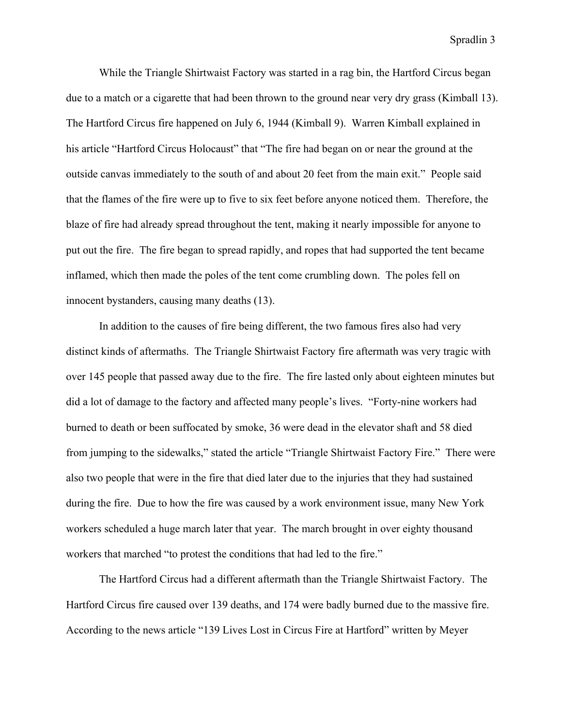While the Triangle Shirtwaist Factory was started in a rag bin, the Hartford Circus began due to a match or a cigarette that had been thrown to the ground near very dry grass (Kimball 13). The Hartford Circus fire happened on July 6, 1944 (Kimball 9). Warren Kimball explained in his article "Hartford Circus Holocaust" that "The fire had began on or near the ground at the outside canvas immediately to the south of and about 20 feet from the main exit." People said that the flames of the fire were up to five to six feet before anyone noticed them. Therefore, the blaze of fire had already spread throughout the tent, making it nearly impossible for anyone to put out the fire. The fire began to spread rapidly, and ropes that had supported the tent became inflamed, which then made the poles of the tent come crumbling down. The poles fell on innocent bystanders, causing many deaths (13).

In addition to the causes of fire being different, the two famous fires also had very distinct kinds of aftermaths. The Triangle Shirtwaist Factory fire aftermath was very tragic with over 145 people that passed away due to the fire. The fire lasted only about eighteen minutes but did a lot of damage to the factory and affected many people's lives. "Forty-nine workers had burned to death or been suffocated by smoke, 36 were dead in the elevator shaft and 58 died from jumping to the sidewalks," stated the article "Triangle Shirtwaist Factory Fire." There were also two people that were in the fire that died later due to the injuries that they had sustained during the fire. Due to how the fire was caused by a work environment issue, many New York workers scheduled a huge march later that year. The march brought in over eighty thousand workers that marched "to protest the conditions that had led to the fire."

The Hartford Circus had a different aftermath than the Triangle Shirtwaist Factory. The Hartford Circus fire caused over 139 deaths, and 174 were badly burned due to the massive fire. According to the news article "139 Lives Lost in Circus Fire at Hartford" written by Meyer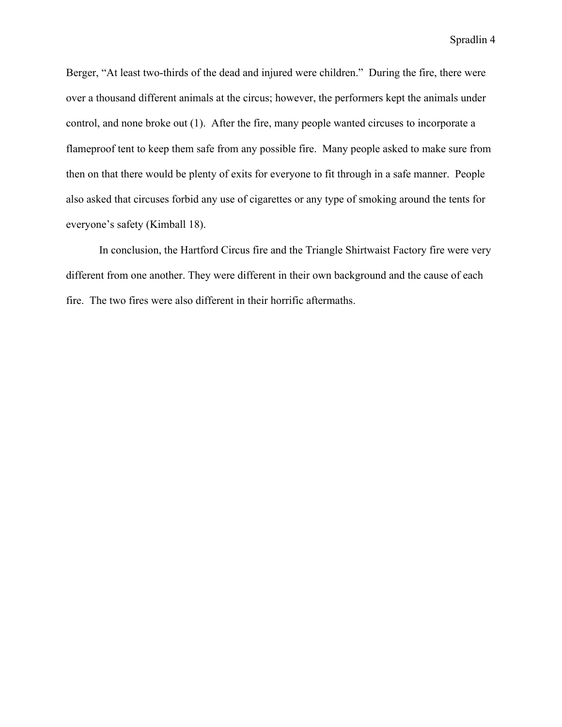Berger, "At least two-thirds of the dead and injured were children." During the fire, there were over a thousand different animals at the circus; however, the performers kept the animals under control, and none broke out (1). After the fire, many people wanted circuses to incorporate a flameproof tent to keep them safe from any possible fire. Many people asked to make sure from then on that there would be plenty of exits for everyone to fit through in a safe manner. People also asked that circuses forbid any use of cigarettes or any type of smoking around the tents for everyone's safety (Kimball 18).

In conclusion, the Hartford Circus fire and the Triangle Shirtwaist Factory fire were very different from one another. They were different in their own background and the cause of each fire. The two fires were also different in their horrific aftermaths.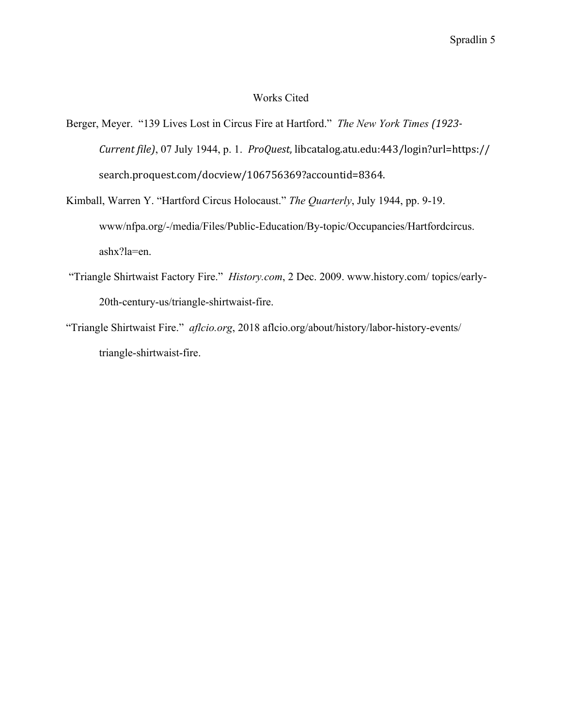## Works Cited

- Berger, Meyer. "139 Lives Lost in Circus Fire at Hartford." *The New York Times (1923- Current file)*, 07 July 1944, p. 1. *ProQuest*, libcatalog.atu.edu:443/login?url=https:// search.proquest.com/docview/106756369?accountid=8364.
- Kimball, Warren Y. "Hartford Circus Holocaust." *The Quarterly*, July 1944, pp. 9-19. www/nfpa.org/-/media/Files/Public-Education/By-topic/Occupancies/Hartfordcircus. ashx?la=en.
- "Triangle Shirtwaist Factory Fire." *History.com*, 2 Dec. 2009. www.history.com/ topics/early-20th-century-us/triangle-shirtwaist-fire.
- "Triangle Shirtwaist Fire." *aflcio.org*, 2018 aflcio.org/about/history/labor-history-events/ triangle-shirtwaist-fire.